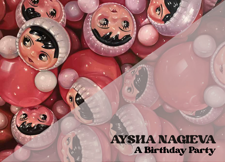AYSHA NAGIEVA A Birthday Party

Œ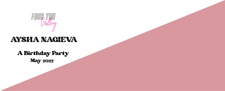

## AYSHA NAGIEVA

May <sup>2022</sup> A Birthday Party

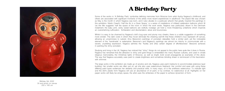## A Birthday Party

Some of the works in 'A Birthday Party' symbolise defining memories from Moscow born artist Aysha Nagieva's childhood, and others are associated with significant moments of the artists more recent experiences in adulthood. The playful title was chosen as May is the month in which Nagieva was born, and it also alludes to a particular artwork that greatly inspired the paintings in this exhibition. Martin Creed's 'Half the Air in a Given Space,' is a series of installations of inflated celebration balloons which fill (as the title suggests) half the space of the room in which the work exists. Nagieva was particularly drawn to the Denmark instalment; the baby pink, sickly sweet balloons are wistfully nostalgic yet hold a more threatening undertone which impends an overwhelming suffocation. Exhilaration and disorientation; allure and bounciness.

Whilst it is easy to be charmed by Nagieva's doll's bug eyes and plump rosy cheeks, there is a subtle suggestion of something more sinister. The dark voids in which they hover eliminate the cheering warmth that these children's toys represent off canvas, allowing an uncanniness to subsist. Amy Bessone's paintings of porcelain statuettes hold a similar peril, yet the noticeable element of the 'handmade' is redemptive. Bessone's and Nagieva's paintings are almost too kitschy to communicate with a severe, unyielding expression. Nagieva admires the "fluidity and [the] certain degree of effortlessness" Bessone achieves in painting the shiny porcelain.

Studying and living in the UK, Nagieva has noticed that "shiny" things do not appeal to the public here quite like it does in Russia. Nagieva has remarked that the attraction to shiny and gold things is embedded into many Russian cultures, and used in ornate religious memorabilia, the Christmas lights of Moscow, as well as bright, bold soviet propaganda as examples of this allure. The way that Nagieva accurately uses paint to create brightness and sometimes blinding sheen is reminiscent of this fascination with shimmer.

The large works in this exhibition are made up of acrylics and oils, Nagieva uses paint mediums to accommodate extensive layer building. Her smaller works are often just oil, yet she also uses watercolours freehand. Her comfort and ease with using these differing paint types evidences her dexterity and practical skills. In many ways, oil is the antithesis watercolour. To indicate light and the doll's plastic form Nagieva will use an abundance of oil paint, or by contrast, no watercolour at all. Highlights on her paper works will likely be empty space, the artist uses the whiteness of the paper to achieve dynamism of form.

Birthday Girl, 2022 Oil and acrylic on canvas 200 x 160 cm

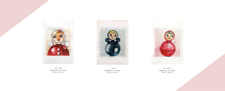

105, 2022 Watercolor on paper 59.4 x 42 cm



M., 2022 Watercolor on paper 59.4 x 42 cm

L., 2022 Watercolor on paper 59.4 x 42 cm

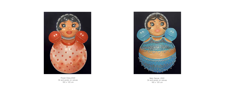

Flower Dress,2022 Oil and acrylic on canvas 160 x 120 cm



Belly Dancer, 2022 Oil and acrylic on canvas 160 x 120 cm

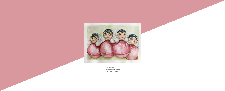

Self-invites, 2022 Watercolor on paper 42 x 59.4 cm

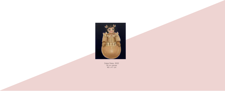

Dubai Dress, 2022 Oil on canvas 48 x 41 cm

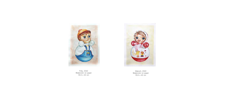

Polly, 2022 Watercolor on paper 59.4 x 42 cm



Makoch, 2022 Watercolor on paper 59.4 x 42 cm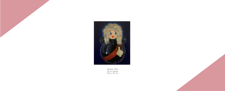

Admiral, 2022 Oil on canvas 60.4 x 50 cm

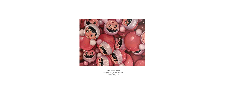

Pink Rave, 2022 Oil and acrylic on canvas 100 x 140 cm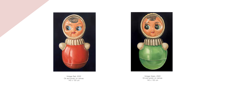

Vintage Red, 2022 Oil and acrylic on canvas 140 x 100 cm



Vintage Green, 2022 Oil and acrylic on canvas 140 x 100 cm

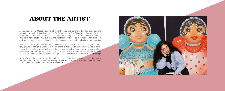## ABOUT THE ARTIST

Aysha Nagieva is a Moscow born artist currently living and working in London. Last year, she graduated from City & Guilds of London Art School with a First-Class BA in Fine Art. Over the course of her final year of study, she adopted the Nevalyashka Doll motif which is now so intrinsic to her practice. Nagieva uses the traditional Soviet doll as a symbol of her childhood, and as a tool through which to better conceptualise and understand her practice.

Profoundly auto biographical, the artist is most certainly present in her artworks. Nagieva's painterly gesture and touch is apparent in the brushstroke detail, which can be investigated at proximity to the engulfing works. Yet at a distance, with the entire work in view, witness a sharp execution of the doll's curved plastic body. One might come to learn as much about the artist as she is learning about herself through this impressive demonstration of paintings.

Nagieva's work has been exhibited multiple times in London in recent years, and at the end of last year she took part in Four You Gallery's online group show 'In the Eye of the Beholder.' In 2021, she was shortlisted for the ACS Studio Prize.

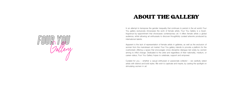## ABOUT THE GALLERY

In an attempt to transpose the gender inequality that continues to persist in the art world, Four You gallery exclusively showcases the work of female artists. Four You Gallery is a travellingvenue-by-appointment that showcases contemporary art. It offers female artists a global audience, whilst allowing art enthusiasts to discover thoughtfully curated artworks produced by international talents.

Apparent is the lack of representation of female artists in galleries, as well as the exclusion of women from the mainstream art market. Four You gallery intends to provide a platform for the overlooked; offering a space that encourages cross-discipline dialogue led solely by women aiming to inflict change. Dedicated to the artist and regardless of their nationality, medium, or career-status, Four You Gallery hopes to celebrate, support and empower.

Curated for you – whether a casual enthusiast or passionate collector – we carefully select artists with distinct and bold styles. We wish to captivate and inspire, by casting the spotlight on stimulating women in art.